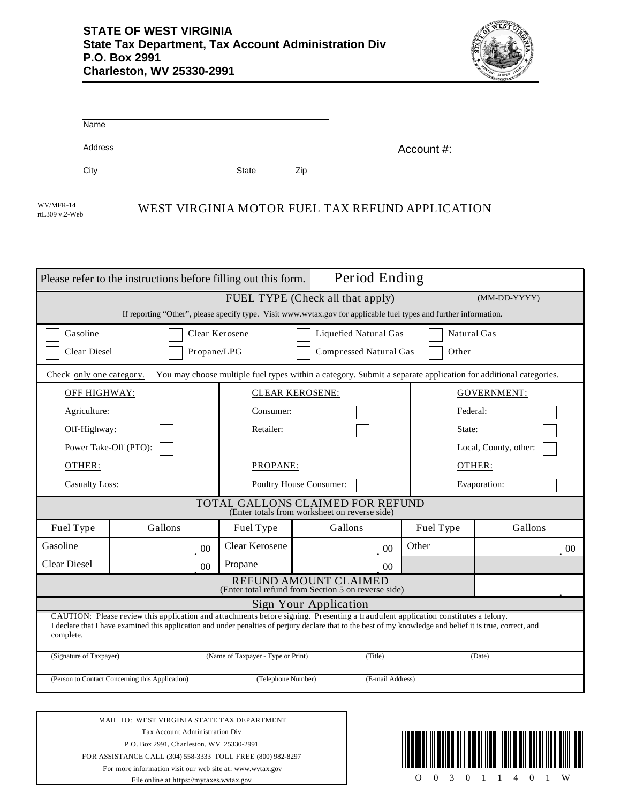

| Name    |              |     |            |
|---------|--------------|-----|------------|
| Address |              |     | Account #: |
| City    | <b>State</b> | Zip |            |

rtL309 v.2-Web

## WV/MFR-14<br>WEST VIRGINIA MOTOR FUEL TAX REFUND APPLICATION

|                                                                                                                                                                                                                                                                                                               | Please refer to the instructions before filling out this form.                                                                             | Period Ending                      |                        |              |                       |  |  |  |  |
|---------------------------------------------------------------------------------------------------------------------------------------------------------------------------------------------------------------------------------------------------------------------------------------------------------------|--------------------------------------------------------------------------------------------------------------------------------------------|------------------------------------|------------------------|--------------|-----------------------|--|--|--|--|
|                                                                                                                                                                                                                                                                                                               |                                                                                                                                            | FUEL TYPE (Check all that apply)   |                        | (MM-DD-YYYY) |                       |  |  |  |  |
| If reporting "Other", please specify type. Visit www.wvtax.gov for applicable fuel types and further information.                                                                                                                                                                                             |                                                                                                                                            |                                    |                        |              |                       |  |  |  |  |
| Gasoline                                                                                                                                                                                                                                                                                                      |                                                                                                                                            | Clear Kerosene                     | Liquefied Natural Gas  |              | Natural Gas           |  |  |  |  |
| Clear Diesel<br>Propane/LPG<br>Compressed Natural Gas<br>Other                                                                                                                                                                                                                                                |                                                                                                                                            |                                    |                        |              |                       |  |  |  |  |
|                                                                                                                                                                                                                                                                                                               | You may choose multiple fuel types within a category. Submit a separate application for additional categories.<br>Check only one category. |                                    |                        |              |                       |  |  |  |  |
|                                                                                                                                                                                                                                                                                                               | OFF HIGHWAY:                                                                                                                               |                                    | <b>CLEAR KEROSENE:</b> |              | <b>GOVERNMENT:</b>    |  |  |  |  |
| Agriculture:                                                                                                                                                                                                                                                                                                  |                                                                                                                                            | Consumer:                          |                        |              | Federal:              |  |  |  |  |
| Off-Highway:                                                                                                                                                                                                                                                                                                  |                                                                                                                                            | Retailer:                          |                        |              | State:                |  |  |  |  |
| Power Take-Off (PTO):                                                                                                                                                                                                                                                                                         |                                                                                                                                            |                                    |                        |              | Local, County, other: |  |  |  |  |
| OTHER:                                                                                                                                                                                                                                                                                                        |                                                                                                                                            |                                    | PROPANE:               |              | OTHER:                |  |  |  |  |
| <b>Casualty Loss:</b>                                                                                                                                                                                                                                                                                         |                                                                                                                                            | <b>Poultry House Consumer:</b>     |                        |              | Evaporation:          |  |  |  |  |
| TOTAL GALLONS CLAIMED FOR REFUND<br>(Enter totals from worksheet on reverse side)                                                                                                                                                                                                                             |                                                                                                                                            |                                    |                        |              |                       |  |  |  |  |
| Fuel Type                                                                                                                                                                                                                                                                                                     | Gallons                                                                                                                                    | Fuel Type                          | Gallons                | Fuel Type    | Gallons               |  |  |  |  |
| Gasoline                                                                                                                                                                                                                                                                                                      | 0 <sub>0</sub>                                                                                                                             | Clear Kerosene                     | 0 <sup>0</sup>         | Other        | 00 <sup>0</sup>       |  |  |  |  |
| <b>Clear Diesel</b>                                                                                                                                                                                                                                                                                           | 0 <sub>0</sub>                                                                                                                             | Propane                            | 0 <sub>0</sub>         |              |                       |  |  |  |  |
| REFUND AMOUNT CLAIMED<br>(Enter total refund from Section 5 on reverse side)                                                                                                                                                                                                                                  |                                                                                                                                            |                                    |                        |              |                       |  |  |  |  |
|                                                                                                                                                                                                                                                                                                               |                                                                                                                                            |                                    | Sign Your Application  |              |                       |  |  |  |  |
| CAUTION: Please review this application and attachments before signing. Presenting a fraudulent application constitutes a felony.<br>I declare that I have examined this application and under penalties of perjury declare that to the best of my knowledge and belief it is true, correct, and<br>complete. |                                                                                                                                            |                                    |                        |              |                       |  |  |  |  |
| (Signature of Taxpayer)                                                                                                                                                                                                                                                                                       |                                                                                                                                            | (Name of Taxpayer - Type or Print) | (Title)                |              | (Date)                |  |  |  |  |
| (Person to Contact Concerning this Application)<br>(Telephone Number)                                                                                                                                                                                                                                         |                                                                                                                                            |                                    | (E-mail Address)       |              |                       |  |  |  |  |
|                                                                                                                                                                                                                                                                                                               |                                                                                                                                            |                                    |                        |              |                       |  |  |  |  |
| MAIL TO: WEST VIRGINIA STATE TAX DEPARTMENT                                                                                                                                                                                                                                                                   |                                                                                                                                            |                                    |                        |              |                       |  |  |  |  |
|                                                                                                                                                                                                                                                                                                               | Tax Account Administration Div                                                                                                             |                                    |                        |              |                       |  |  |  |  |
| P.O. Box 2991, Charleston, WV 25330-2991                                                                                                                                                                                                                                                                      |                                                                                                                                            |                                    |                        |              |                       |  |  |  |  |
|                                                                                                                                                                                                                                                                                                               | FOR ASSISTANCE CALL (304) 558-3333 TOLL FREE (800) 982-8297<br>For more information visit our web site at: www.water.cov                   |                                    |                        |              |                       |  |  |  |  |

For more information visit our web site at: www.wvtax.gov File online at https://mytaxes.wvtax.gov

O 0 3 0 1 1 4 0 1 W